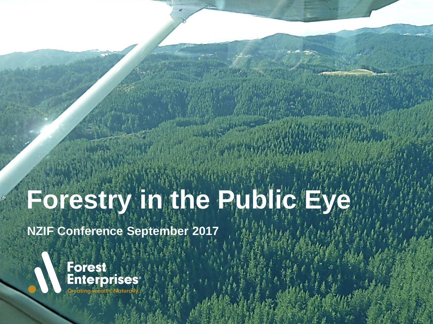# **Forestry in the Public Eye**

**Forestry in the public eye – NZIF September 2017**

 $\Theta$ 

*Kiwis investing – the ultimate industry endorsement*

**NZIF Conference September 2017**

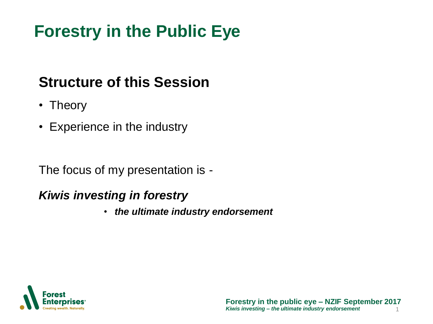## **Forestry in the Public Eye**

#### **Structure of this Session**

- Theory
- Experience in the industry

The focus of my presentation is -

#### *Kiwis investing in forestry*

• *the ultimate industry endorsement*

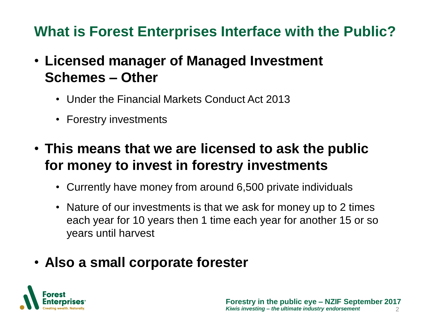#### **What is Forest Enterprises Interface with the Public?**

- **Licensed manager of Managed Investment Schemes – Other**
	- Under the Financial Markets Conduct Act 2013
	- Forestry investments
- **This means that we are licensed to ask the public for money to invest in forestry investments**
	- Currently have money from around 6,500 private individuals
	- Nature of our investments is that we ask for money up to 2 times each year for 10 years then 1 time each year for another 15 or so years until harvest
- **Also a small corporate forester**

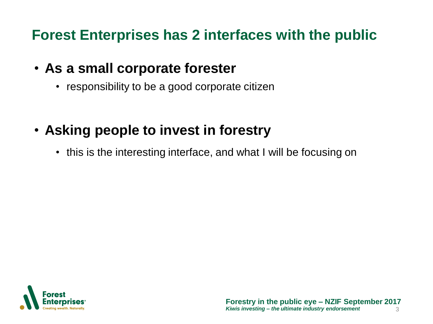#### **Forest Enterprises has 2 interfaces with the public**

- **As a small corporate forester**
	- responsibility to be a good corporate citizen
- **Asking people to invest in forestry**
	- this is the interesting interface, and what I will be focusing on

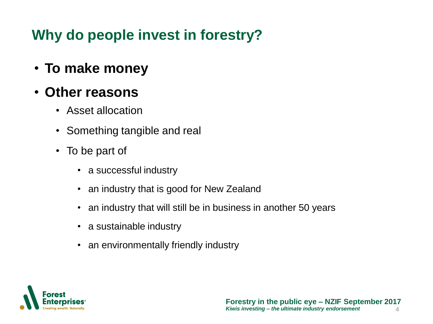• **To make money**

#### • **Other reasons**

- Asset allocation
- Something tangible and real
- To be part of
	- a successful industry
	- an industry that is good for New Zealand
	- an industry that will still be in business in another 50 years
	- a sustainable industry
	- an environmentally friendly industry

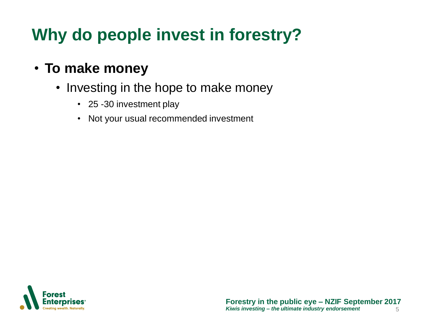#### • **To make money**

- Investing in the hope to make money
	- 25 -30 investment play
	- Not your usual recommended investment

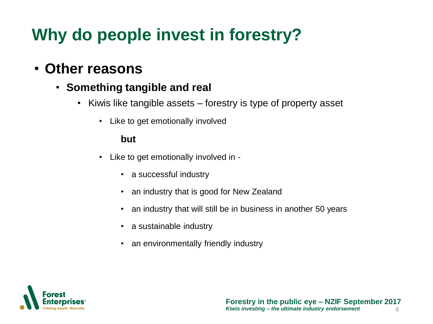#### • **Other reasons**

- **Something tangible and real**
	- Kiwis like tangible assets forestry is type of property asset
		- Like to get emotionally involved

#### **but**

- Like to get emotionally involved in
	- a successful industry
	- an industry that is good for New Zealand
	- an industry that will still be in business in another 50 years
	- a sustainable industry
	- an environmentally friendly industry

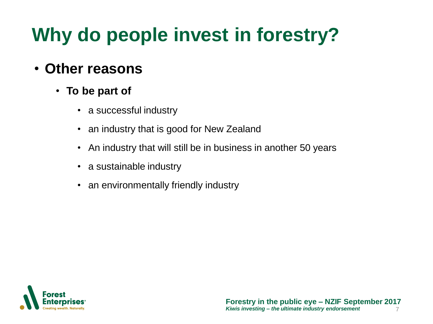#### • **Other reasons**

- **To be part of** 
	- a successful industry
	- an industry that is good for New Zealand
	- An industry that will still be in business in another 50 years
	- a sustainable industry
	- an environmentally friendly industry

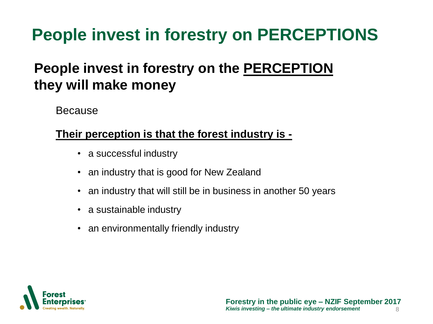## **People invest in forestry on PERCEPTIONS**

#### **People invest in forestry on the PERCEPTION they will make money**

Because

#### **Their perception is that the forest industry is -**

- a successful industry
- an industry that is good for New Zealand
- an industry that will still be in business in another 50 years
- a sustainable industry
- an environmentally friendly industry

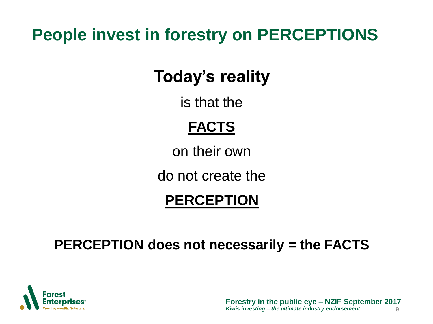## **People invest in forestry on PERCEPTIONS**

## **Today's reality**

is that the

### **FACTS**

on their own

do not create the

#### **PERCEPTION**

#### **PERCEPTION does not necessarily = the FACTS**

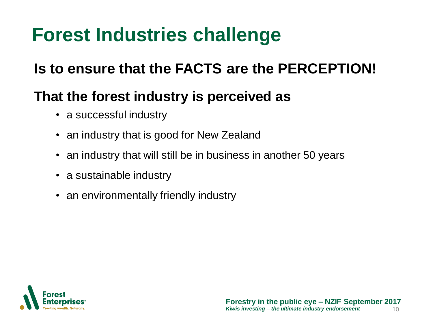## **Forest Industries challenge**

#### **Is to ensure that the FACTS are the PERCEPTION!**

#### **That the forest industry is perceived as**

- a successful industry
- an industry that is good for New Zealand
- an industry that will still be in business in another 50 years
- a sustainable industry
- an environmentally friendly industry

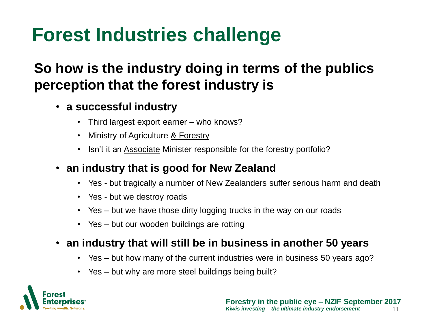## **Forest Industries challenge**

#### **So how is the industry doing in terms of the publics perception that the forest industry is**

- **a successful industry**
	- Third largest export earner who knows?
	- Ministry of Agriculture & Forestry
	- Isn't it an Associate Minister responsible for the forestry portfolio?
- **an industry that is good for New Zealand**
	- Yes but tragically a number of New Zealanders suffer serious harm and death
	- Yes but we destroy roads
	- Yes but we have those dirty logging trucks in the way on our roads
	- Yes but our wooden buildings are rotting
- **an industry that will still be in business in another 50 years**
	- Yes but how many of the current industries were in business 50 years ago?
	- Yes but why are more steel buildings being built?

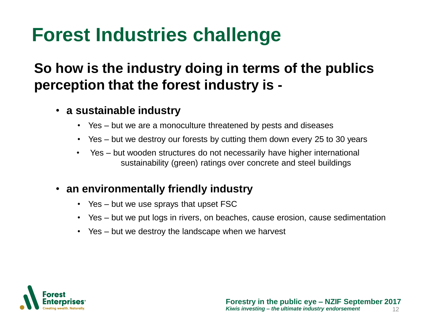## **Forest Industries challenge**

#### **So how is the industry doing in terms of the publics perception that the forest industry is -**

- **a sustainable industry**
	- Yes but we are a monoculture threatened by pests and diseases
	- Yes but we destroy our forests by cutting them down every 25 to 30 years
	- Yes but wooden structures do not necessarily have higher international sustainability (green) ratings over concrete and steel buildings
- **an environmentally friendly industry**
	- Yes but we use sprays that upset FSC
	- Yes but we put logs in rivers, on beaches, cause erosion, cause sedimentation
	- Yes but we destroy the landscape when we harvest

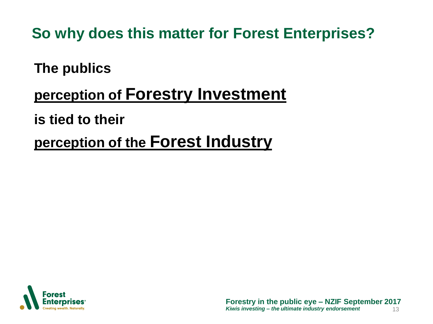**So why does this matter for Forest Enterprises?**

**The publics** 

#### **perception of Forestry Investment**

**is tied to their** 

**perception of the Forest Industry** 

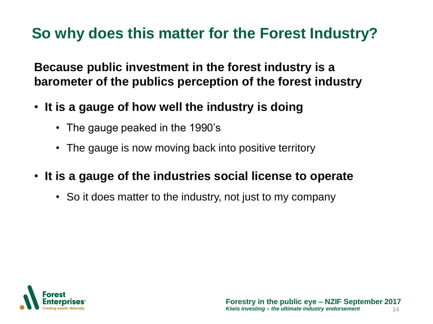**Because public investment in the forest industry is a barometer of the publics perception of the forest industry**

- **It is a gauge of how well the industry is doing**
	- The gauge peaked in the 1990's
	- The gauge is now moving back into positive territory
- **It is a gauge of the industries social license to operate**
	- So it does matter to the industry, not just to my company

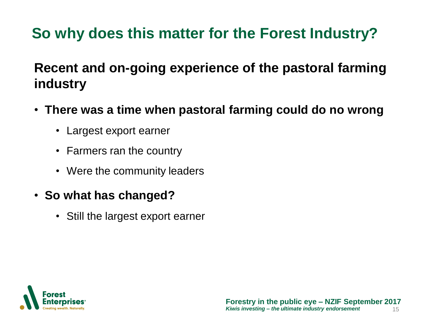#### **Recent and on-going experience of the pastoral farming industry**

- **There was a time when pastoral farming could do no wrong**
	- Largest export earner
	- Farmers ran the country
	- Were the community leaders
- **So what has changed?**
	- Still the largest export earner

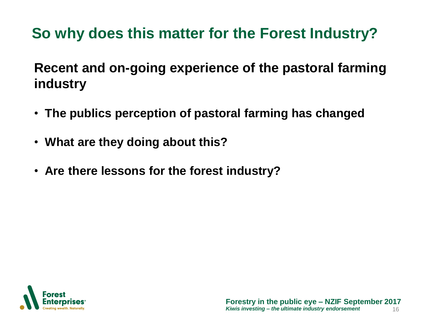**Recent and on-going experience of the pastoral farming industry**

- **The publics perception of pastoral farming has changed**
- **What are they doing about this?**
- **Are there lessons for the forest industry?**

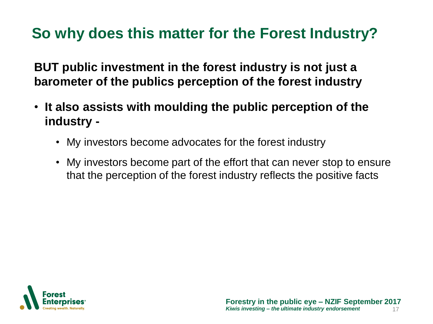**BUT public investment in the forest industry is not just a barometer of the publics perception of the forest industry**

- **It also assists with moulding the public perception of the industry -**
	- My investors become advocates for the forest industry
	- My investors become part of the effort that can never stop to ensure that the perception of the forest industry reflects the positive facts